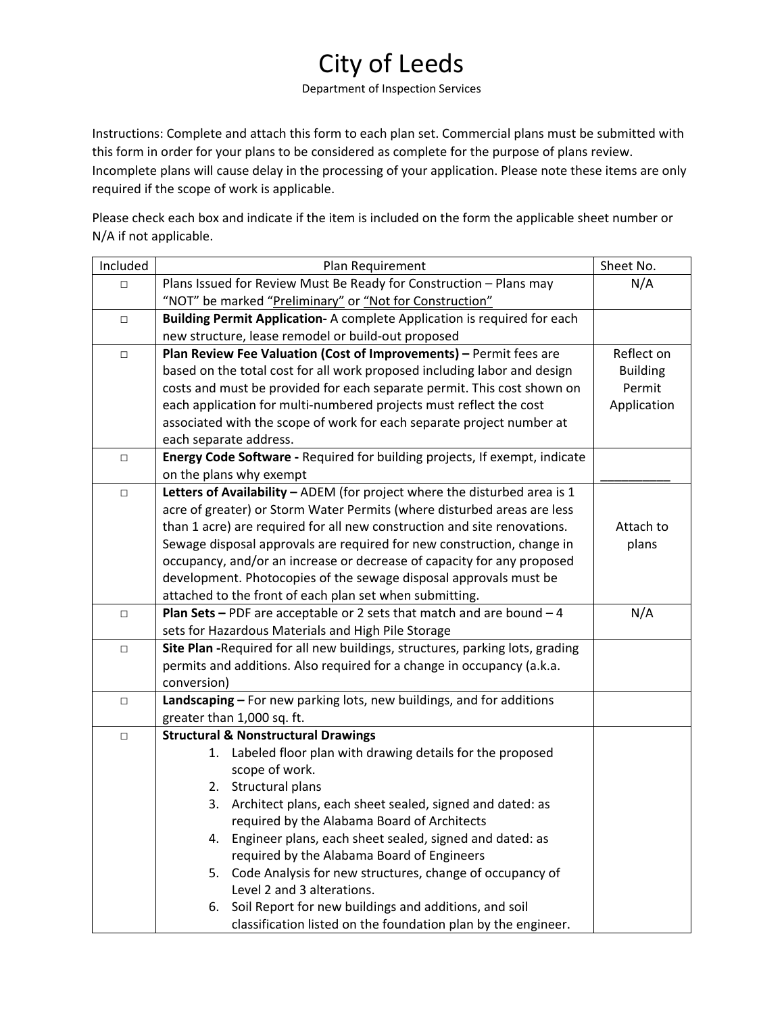## City of Leeds

Department of Inspection Services

Instructions: Complete and attach this form to each plan set. Commercial plans must be submitted with this form in order for your plans to be considered as complete for the purpose of plans review. Incomplete plans will cause delay in the processing of your application. Please note these items are only required if the scope of work is applicable.

Please check each box and indicate if the item is included on the form the applicable sheet number or N/A if not applicable.

| Included | Plan Requirement                                                                                                                                                                                                                                                           | Sheet No.       |  |  |  |  |  |
|----------|----------------------------------------------------------------------------------------------------------------------------------------------------------------------------------------------------------------------------------------------------------------------------|-----------------|--|--|--|--|--|
| $\Box$   | Plans Issued for Review Must Be Ready for Construction - Plans may                                                                                                                                                                                                         | N/A             |  |  |  |  |  |
|          | "NOT" be marked "Preliminary" or "Not for Construction"                                                                                                                                                                                                                    |                 |  |  |  |  |  |
| $\Box$   | Building Permit Application- A complete Application is required for each                                                                                                                                                                                                   |                 |  |  |  |  |  |
|          | new structure, lease remodel or build-out proposed                                                                                                                                                                                                                         |                 |  |  |  |  |  |
| $\Box$   | Plan Review Fee Valuation (Cost of Improvements) - Permit fees are                                                                                                                                                                                                         | Reflect on      |  |  |  |  |  |
|          | based on the total cost for all work proposed including labor and design                                                                                                                                                                                                   | <b>Building</b> |  |  |  |  |  |
|          | costs and must be provided for each separate permit. This cost shown on                                                                                                                                                                                                    | Permit          |  |  |  |  |  |
|          | each application for multi-numbered projects must reflect the cost                                                                                                                                                                                                         | Application     |  |  |  |  |  |
|          | associated with the scope of work for each separate project number at                                                                                                                                                                                                      |                 |  |  |  |  |  |
|          | each separate address.                                                                                                                                                                                                                                                     |                 |  |  |  |  |  |
| $\Box$   | Energy Code Software - Required for building projects, If exempt, indicate                                                                                                                                                                                                 |                 |  |  |  |  |  |
|          | on the plans why exempt                                                                                                                                                                                                                                                    |                 |  |  |  |  |  |
| $\Box$   | Letters of Availability - ADEM (for project where the disturbed area is 1                                                                                                                                                                                                  |                 |  |  |  |  |  |
|          | acre of greater) or Storm Water Permits (where disturbed areas are less                                                                                                                                                                                                    |                 |  |  |  |  |  |
|          | than 1 acre) are required for all new construction and site renovations.                                                                                                                                                                                                   | Attach to       |  |  |  |  |  |
|          | Sewage disposal approvals are required for new construction, change in                                                                                                                                                                                                     | plans           |  |  |  |  |  |
|          | occupancy, and/or an increase or decrease of capacity for any proposed                                                                                                                                                                                                     |                 |  |  |  |  |  |
|          | development. Photocopies of the sewage disposal approvals must be                                                                                                                                                                                                          |                 |  |  |  |  |  |
|          | attached to the front of each plan set when submitting.                                                                                                                                                                                                                    |                 |  |  |  |  |  |
| $\Box$   | <b>Plan Sets - PDF</b> are acceptable or 2 sets that match and are bound $-4$                                                                                                                                                                                              | N/A             |  |  |  |  |  |
|          | sets for Hazardous Materials and High Pile Storage                                                                                                                                                                                                                         |                 |  |  |  |  |  |
| $\Box$   | Site Plan - Required for all new buildings, structures, parking lots, grading                                                                                                                                                                                              |                 |  |  |  |  |  |
|          | permits and additions. Also required for a change in occupancy (a.k.a.                                                                                                                                                                                                     |                 |  |  |  |  |  |
|          | conversion)                                                                                                                                                                                                                                                                |                 |  |  |  |  |  |
| $\Box$   | Landscaping - For new parking lots, new buildings, and for additions                                                                                                                                                                                                       |                 |  |  |  |  |  |
|          | greater than 1,000 sq. ft.                                                                                                                                                                                                                                                 |                 |  |  |  |  |  |
| $\Box$   | <b>Structural &amp; Nonstructural Drawings</b>                                                                                                                                                                                                                             |                 |  |  |  |  |  |
|          | Labeled floor plan with drawing details for the proposed<br>1.                                                                                                                                                                                                             |                 |  |  |  |  |  |
|          | scope of work.                                                                                                                                                                                                                                                             |                 |  |  |  |  |  |
|          | 2. Structural plans                                                                                                                                                                                                                                                        |                 |  |  |  |  |  |
|          | Architect plans, each sheet sealed, signed and dated: as<br>3.                                                                                                                                                                                                             |                 |  |  |  |  |  |
|          | required by the Alabama Board of Architects<br>4.                                                                                                                                                                                                                          |                 |  |  |  |  |  |
|          | Engineer plans, each sheet sealed, signed and dated: as                                                                                                                                                                                                                    |                 |  |  |  |  |  |
|          |                                                                                                                                                                                                                                                                            |                 |  |  |  |  |  |
|          |                                                                                                                                                                                                                                                                            |                 |  |  |  |  |  |
|          |                                                                                                                                                                                                                                                                            |                 |  |  |  |  |  |
|          |                                                                                                                                                                                                                                                                            |                 |  |  |  |  |  |
|          | required by the Alabama Board of Engineers<br>Code Analysis for new structures, change of occupancy of<br>5.<br>Level 2 and 3 alterations.<br>Soil Report for new buildings and additions, and soil<br>6.<br>classification listed on the foundation plan by the engineer. |                 |  |  |  |  |  |